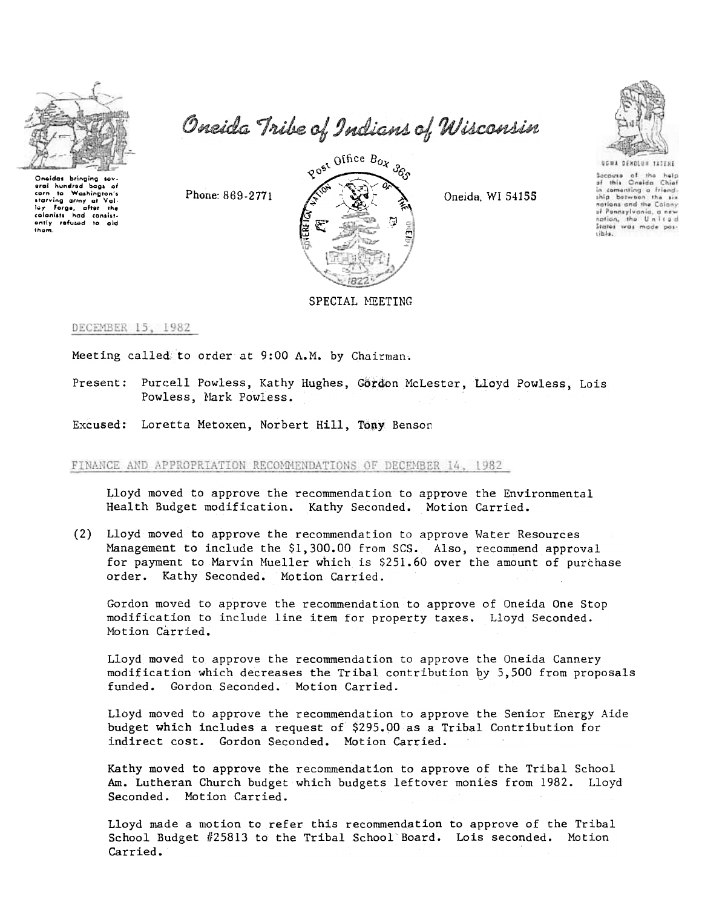

Oneidas bringing sov.<br>erai hundred bags pi carn to Washington's carn to Woshington's<br>starving army at Val<br>Iey: Forge, after the colonists had consistently r**ef**used to aid<br>them.

Oneida Tribe of Indians of Wisconsin





Secouse of the help<br>of this Oneida Chief in comenting a friend. nations and the Colony<br>of Ponnsylvania, a new nation, the United<br>States was mode possible.



DECEMBER 15, 1982

Meeting called, to order at 9:00 A.M. by Chairman.

Purcell Powless, Kathy Hughes, Gordon McLester, Lloyd Powless, Lois Powless, Mark Powless.

Excused: Loretta Metoxen, Norbert Hill, Tony Benson

FINANCE AND APPROPRIATION RECOMMENDATIONS OF DECEMBER 14, 1982

Lloyd moved to approve the recommendation to approve the Environmental Health Budget modification. Kathy Seconded. Motion Carried.

(2) Lloyd moved to approve the recommendation to approve Water Resources Management to include the \$1,300.00 from SCS. Also, recommend approval for payment to Marvin Mueller which is  $$251.60$  over the amount of purchase order. Kathy Seconded. Motion Carried.

Gordon moved to approve the recommendation to approve of Oneida One Stop modification to include line item for property taxes. Lloyd Seconded. Motion Carried.

Lloyd moved to approve the recommendation to approve the Oneida Cannery modification which decreases the Tribal contribution by  $5,500$  from proposals funded. Gordon Seconded. Motion Carried.

Lloyd moved to approve the recommendation to approve the Senior Energy Aide budget which includes a request of \$295.00 as a Tribal Contribution for indirect cost. Gordon Seconded. Motion Carried.

Kathy moved to approve the recommendation to approve of the Tribal School Am. Lutheran Church budget which budgets leftover monies from 1982. Lloyd Seconded. Motion Carried.

Lloyd made a motion to refer this recommendation to approve of the Tribal School Budget #25813 to the Tribal School'Board. Lois seconded. Motion Carried.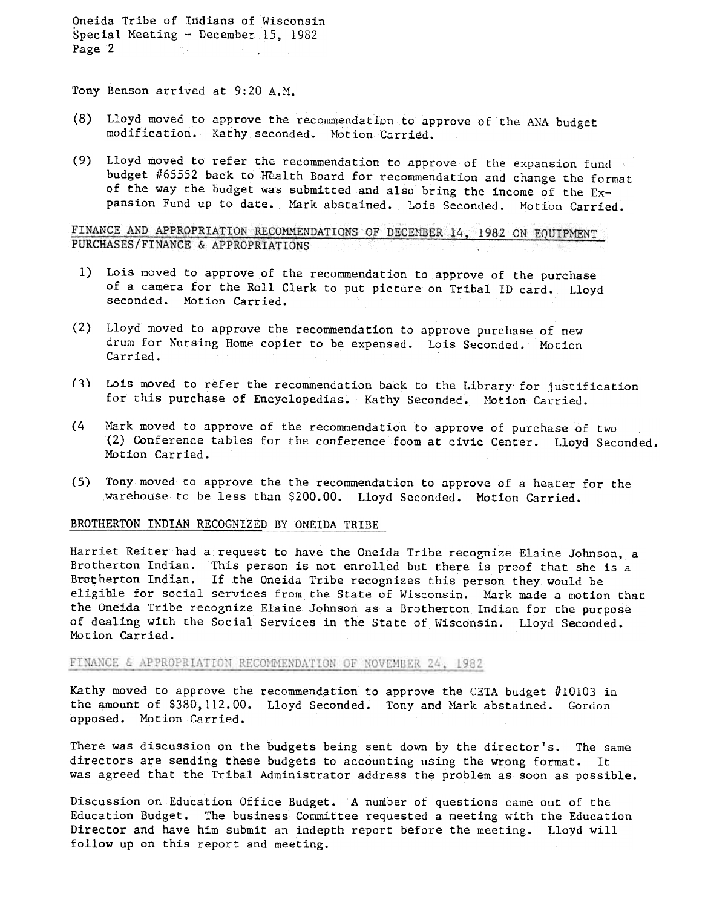Oneida Tribe of Indians of Wisconsin Special Meeting - December 15, 1982 Page 2

Tony Benson arrived at 9:20 A.M.

- (8) Lloyd moved to approve the recommendation to approve of the ANA budget modification. Kathy seconded. Motion Carried.
- (9) Lloyd moved to refer the recommendation to approve of the expansion fund budget #65552 back to Health Board for recommendation and change the format of the way the budget was submitted and also bring the income of the  $Ex$ pansion Fund up to date. Mark abstained. Lois Seconded. Motion Carried.

FINANCE AND APPROPRIATION RECOMMENDATIONS OF DECEMBER 14, 1982 ON EQUIPMENT PURCHASES/FINANCE & APPROPRIATIONS

- 1) Lois moved to approve of the recommendation to approve of the purchase of a camera for the Roll Clerk to put picture on Tribal ID card. Lloyd seconded. Motion Carried.
- (2) Lloyd moved to approve the recommendation to approve purchase of new drum for Nursing Home copier to be expensed. Lois Seconded. Motion Carried.
- (1) Lois moved to refer the recommendation back to the Library for justification for this purchase of Encyclopedias. Kathy Seconded. Motion Carried.
- (4 Mark moved to approve of the recommendation to approve of purchase of two (2) Conference tables for the conference foom at civic Center. Lloyd Seconded. Motion Carried.
- (5) Tony moved to approve the the recommendation to approve of a heater for the warehouse to be less than \$200.00. Lloyd Seconded. Motion Carried.

#### BROTHERTON INDIAN RECOGNIZED BY ONEIDA TRIBE

Harriet Reiter had a request to have the Oneida Tribe recognize Elaine Johnson, a Brotherton Indian. This person is not enrolled but there is proof that she is a Brotherton Indian. If the Oneida Tribe recognizes this person they would be eligible for social services from the State of Wisconsin. Mark made a motion that the Oneida Tribe recognize Elaine Johnson as a Brotherton Indian for the purpose of dealing with the Social Services in the State of Wisconsin. Lloyd Seconded. Motion Carried.

#### FINANCE & APPROPRIATION RECOMMENDATION OF NOVEMBER 24, 1982

Kathy moved to approve the recommendation to approve the CETA budget  $#10103$  in the amount of \$380,112.00. Lloyd Seconded. Tony and Mark abstained. Gordon opposed. Motion Carried.

There was discussion on the budgets being sent down by the director's. The same directors are sending these budgets to accounting using the wrong format. It was agreed that the Tribal Administrator address the problem as soon as possible.

Discussion on Education Office Budget. A number of questions came out of the Education Budget. The business Committee requested a meeting with the Education Director and have him submit an indepth report before the meeting. Lloyd will follow up on this report and meeting.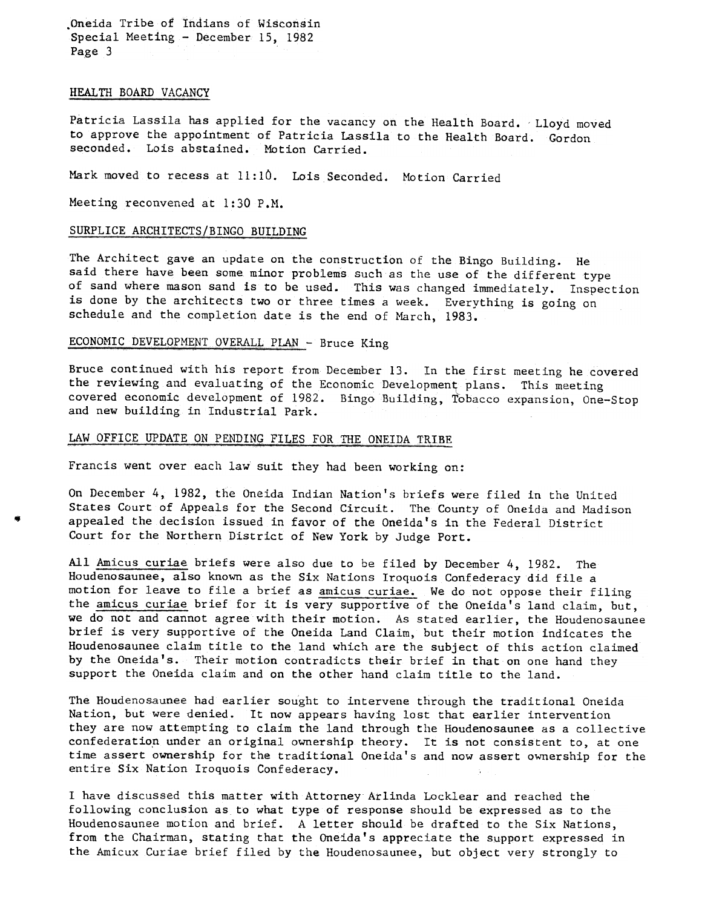.Oneida Tribe of Indians of Wisconsin Special Meeting - December 15, 1982 Page 3

#### HEALTH BOARD VACANCY

-

Patricia Lassila has applied for the vacancy on the Health Board. 'Lloyd moved to approve the appointment of Patricia Lassila to the Health Board. Gordon seconded. Lois abstained. Motion Carried.

Mark moved to recess at 11:10. Lois Seconded. Motion Carried

Meeting reconvened at 1:30 P.M.

### SURPLICE ARCHITECTS/BINGO BUILDING

The Architect gave an update on the construction of the Bingo Building. He said there have been some minor problems such as the use of the different type of sand where mason sand is to be used. This was changed immediately. Inspection is done by the architects two or three times a week. Everything is going on schedule and the completion date is the end of March, 1983.

### ECONOMIC DEVELOPMENT OVERALL PLAN - Bruce King

Bruce continued with his report from December 13. In the first meeting he covered the reviewing and evaluating of the Economic Development; plans. This meeting covered economic development of 1982. Bingo Building, Tobacco expansion, One-Stop and new building in Industrial Park.

## LAW OFFICE UPDATE ON PENDING FILES FOR THE ONEIDA TRIBE

Francis went over each law suit they had been working on:

On December 4, 1982, the Oneida Indian Nation's briefs were filed in the United States Court of Appeals for the Second Circuit. The County of Oneida and Madison appealed the decision issued in favor of the Oneida's in the Federal District Court for the Northern District of New York by Judge Port.

All Amicus curiae briefs were also due to be filed by December 4, 1982. The Houdenosaunee, also known as the Six Nations Iroquois Confederacy did file a motion for leave to file a brief as amicus curiae. We do not oppose their filing the amicus curiae brief for it is very supportive of the Oneida's land claim, but, we do not and cannot agree with their motion. As stated earlier, the Houdenosaunee brief is very supportive of the Oneida Land Claim, but their motion indicates the Houdenosaunee claim title to the land which are the subject of this action claimed by the Oneida's. Their motion contradicts their brief in that on one hand they support the Oneida claim and on the other hand claim title to the land.

The Houdenosaunee had earlier sought to intervene through the traditional Oneida Nation, but were denied. It now appears having lost that earlier intervention they are now attempting to claim the land through the Houdenosaunee as a collective confederation under an original ownership theory. It is not consistent to, at one time assert ownership for the traditional Oneida's and now assert ownership for the entire Six Nation Iroquois Confederacy.

I have discussed this matter with Attorney Arlinda Locklear and reached the following conclusion as to what type of response should be expressed as to the Houdenosaunee motion and brief. A letter should be drafted to the Six Nations, from the Chairman, stating that the Oneida's appreciate the support expressed in the Amicux Curiae brief filed by the Houdenosaunee, but object very strongly to